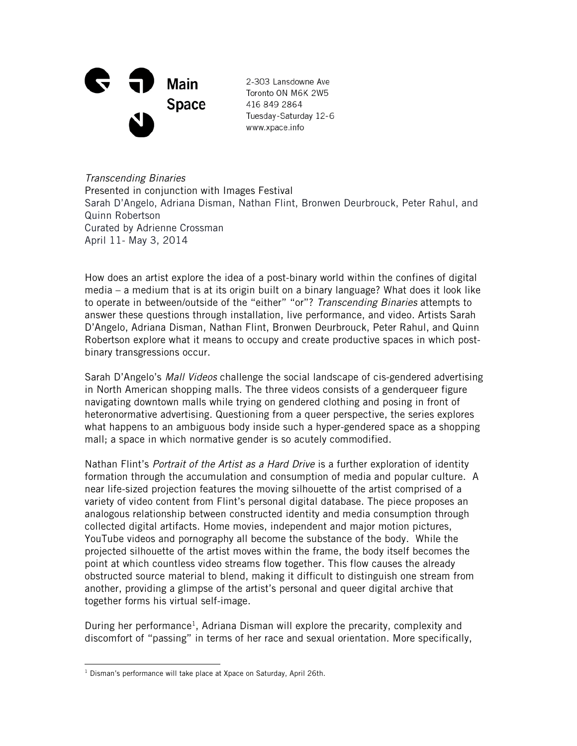

2-303 Lansdowne Ave Toronto ON M6K 2W5 416 849 2864 Tuesday-Saturday 12-6 www.xpace.info

*Transcending Binaries* Presented in conjunction with Images Festival Sarah D'Angelo, Adriana Disman, Nathan Flint, Bronwen Deurbrouck, Peter Rahul, and Quinn Robertson Curated by Adrienne Crossman April 11- May 3, 2014

How does an artist explore the idea of a post-binary world within the confines of digital media – a medium that is at its origin built on a binary language? What does it look like to operate in between/outside of the "either" "or"? *Transcending Binaries* attempts to answer these questions through installation, live performance, and video. Artists Sarah D'Angelo, Adriana Disman, Nathan Flint, Bronwen Deurbrouck, Peter Rahul, and Quinn Robertson explore what it means to occupy and create productive spaces in which postbinary transgressions occur.

Sarah D'Angelo's *Mall Videos* challenge the social landscape of cis-gendered advertising in North American shopping malls. The three videos consists of a genderqueer figure navigating downtown malls while trying on gendered clothing and posing in front of heteronormative advertising. Questioning from a queer perspective, the series explores what happens to an ambiguous body inside such a hyper-gendered space as a shopping mall; a space in which normative gender is so acutely commodified.

Nathan Flint's *Portrait of the Artist as a Hard Drive* is a further exploration of identity formation through the accumulation and consumption of media and popular culture. A near life-sized projection features the moving silhouette of the artist comprised of a variety of video content from Flint's personal digital database. The piece proposes an analogous relationship between constructed identity and media consumption through collected digital artifacts. Home movies, independent and major motion pictures, YouTube videos and pornography all become the substance of the body. While the projected silhouette of the artist moves within the frame, the body itself becomes the point at which countless video streams flow together. This flow causes the already obstructed source material to blend, making it difficult to distinguish one stream from another, providing a glimpse of the artist's personal and queer digital archive that together forms his virtual self-image.

During her performance<sup>1</sup>, Adriana Disman will explore the precarity, complexity and discomfort of "passing" in terms of her race and sexual orientation. More specifically,

 <sup>1</sup> Disman's performance will take place at Xpace on Saturday, April 26th.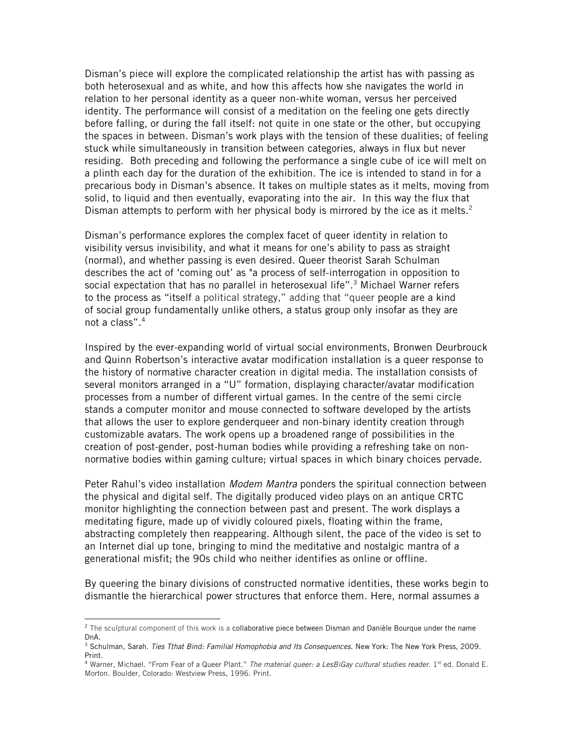Disman's piece will explore the complicated relationship the artist has with passing as both heterosexual and as white, and how this affects how she navigates the world in relation to her personal identity as a queer non-white woman, versus her perceived identity. The performance will consist of a meditation on the feeling one gets directly before falling, or during the fall itself: not quite in one state or the other, but occupying the spaces in between. Disman's work plays with the tension of these dualities; of feeling stuck while simultaneously in transition between categories, always in flux but never residing. Both preceding and following the performance a single cube of ice will melt on a plinth each day for the duration of the exhibition. The ice is intended to stand in for a precarious body in Disman's absence. It takes on multiple states as it melts, moving from solid, to liquid and then eventually, evaporating into the air. In this way the flux that Disman attempts to perform with her physical body is mirrored by the ice as it melts.<sup>2</sup>

Disman's performance explores the complex facet of queer identity in relation to visibility versus invisibility, and what it means for one's ability to pass as straight (normal), and whether passing is even desired. Queer theorist Sarah Schulman describes the act of 'coming out' as "a process of self-interrogation in opposition to social expectation that has no parallel in heterosexual life".<sup>3</sup> Michael Warner refers to the process as "itself a political strategy," adding that "queer people are a kind of social group fundamentally unlike others, a status group only insofar as they are not a class".4

Inspired by the ever-expanding world of virtual social environments, Bronwen Deurbrouck and Quinn Robertson's interactive avatar modification installation is a queer response to the history of normative character creation in digital media. The installation consists of several monitors arranged in a "U" formation, displaying character/avatar modification processes from a number of different virtual games. In the centre of the semi circle stands a computer monitor and mouse connected to software developed by the artists that allows the user to explore genderqueer and non-binary identity creation through customizable avatars. The work opens up a broadened range of possibilities in the creation of post-gender, post-human bodies while providing a refreshing take on nonnormative bodies within gaming culture; virtual spaces in which binary choices pervade.

Peter Rahul's video installation *Modem Mantra* ponders the spiritual connection between the physical and digital self. The digitally produced video plays on an antique CRTC monitor highlighting the connection between past and present. The work displays a meditating figure, made up of vividly coloured pixels, floating within the frame, abstracting completely then reappearing. Although silent, the pace of the video is set to an Internet dial up tone, bringing to mind the meditative and nostalgic mantra of a generational misfit; the 90s child who neither identifies as online or offline.

By queering the binary divisions of constructed normative identities, these works begin to dismantle the hierarchical power structures that enforce them. Here, normal assumes a

 

<sup>&</sup>lt;sup>2</sup> The sculptural component of this work is a collaborative piece between Disman and Danièle Bourque under the name DnA.

<sup>3</sup> Schulman, Sarah. *Ties Tthat Bind: Familial Homophobia and Its Consequences*. New York: The New York Press, 2009. Print.

<sup>&</sup>lt;sup>4</sup> Warner, Michael. "From Fear of a Queer Plant." *The material queer: a LesBiGay cultural studies reader*. 1<sup>st</sup> ed. Donald E. Morton. Boulder, Colorado: Westview Press, 1996. Print.